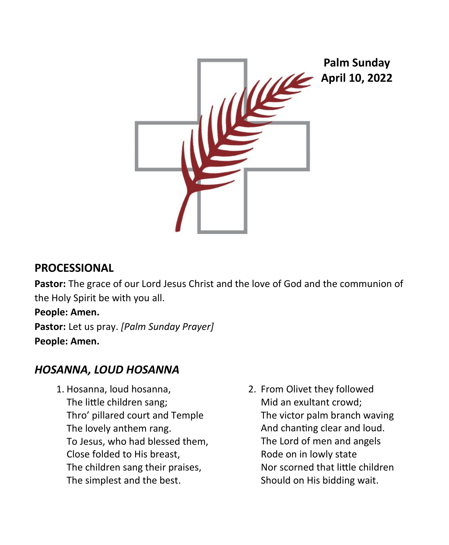

## **PROCESSIONAL**

**Pastor:** The grace of our Lord Jesus Christ and the love of God and the communion of the Holy Spirit be with you all.

## **People: Amen.**

**Pastor:** Let us pray. *[Palm Sunday Prayer]* **People: Amen.**

# *HOSANNA, LOUD HOSANNA*

- 1. Hosanna, loud hosanna, The little children sang; Thro' pillared court and Temple The lovely anthem rang. To Jesus, who had blessed them, Close folded to His breast, The children sang their praises, The simplest and the best.
- 2. From Olivet they followed Mid an exultant crowd; The victor palm branch waving And chanting clear and loud. The Lord of men and angels Rode on in lowly state Nor scorned that little children Should on His bidding wait.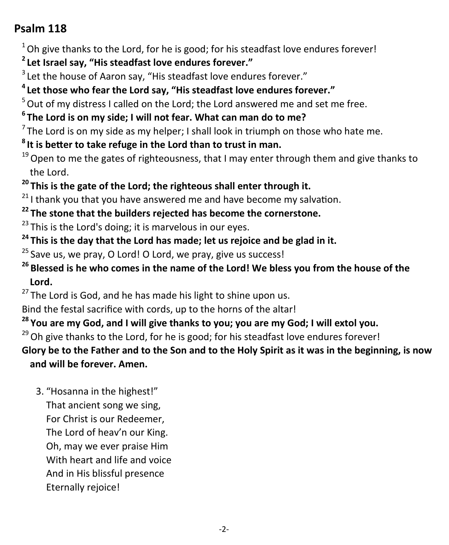# **Psalm 118**

 $1$ <sup>1</sup> Oh give thanks to the Lord, for he is good; for his steadfast love endures forever!

- **<sup>2</sup>Let Israel say, "His steadfast love endures forever."**
- $3$  Let the house of Aaron say, "His steadfast love endures forever."

# **<sup>4</sup>Let those who fear the Lord say, "His steadfast love endures forever."**

 $5$  Out of mv distress I called on the Lord; the Lord answered me and set me free.

**<sup>6</sup>The Lord is on my side; I will not fear. What can man do to me?**

 $<sup>7</sup>$ The Lord is on my side as my helper; I shall look in triumph on those who hate me.</sup>

- **<sup>8</sup>It is better to take refuge in the Lord than to trust in man.**
- $19$  Open to me the gates of righteousness, that I may enter through them and give thanks to the Lord.
- **<sup>20</sup>This is the gate of the Lord; the righteous shall enter through it.**

 $21$ I thank you that you have answered me and have become my salvation.

**<sup>22</sup>The stone that the builders rejected has become the cornerstone.**

 $23$  This is the Lord's doing; it is marvelous in our eyes.

**<sup>24</sup>This is the day that the Lord has made; let us rejoice and be glad in it.**

 $25$  Save us, we pray, O Lord! O Lord, we pray, give us success!

**<sup>26</sup>Blessed is he who comes in the name of the Lord! We bless you from the house of the Lord.**

<sup>27</sup> The Lord is God, and he has made his light to shine upon us.

Bind the festal sacrifice with cords, up to the horns of the altar!

**<sup>28</sup>You are my God, and I will give thanks to you; you are my God; I will extol you.**

 $29$  Oh give thanks to the Lord, for he is good; for his steadfast love endures forever!

**Glory be to the Father and to the Son and to the Holy Spirit as it was in the beginning, is now and will be forever. Amen.**

 3. "Hosanna in the highest!" That ancient song we sing, For Christ is our Redeemer, The Lord of heav'n our King. Oh, may we ever praise Him With heart and life and voice And in His blissful presence Eternally rejoice!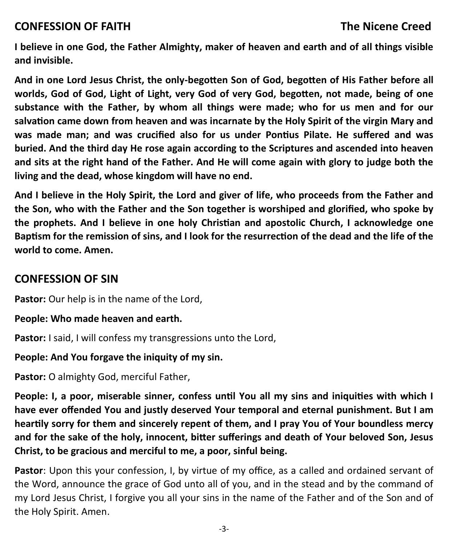**I believe in one God, the Father Almighty, maker of heaven and earth and of all things visible and invisible.**

**And in one Lord Jesus Christ, the only-begotten Son of God, begotten of His Father before all worlds, God of God, Light of Light, very God of very God, begotten, not made, being of one substance with the Father, by whom all things were made; who for us men and for our salvation came down from heaven and was incarnate by the Holy Spirit of the virgin Mary and was made man; and was crucified also for us under Pontius Pilate. He suffered and was buried. And the third day He rose again according to the Scriptures and ascended into heaven and sits at the right hand of the Father. And He will come again with glory to judge both the living and the dead, whose kingdom will have no end.**

**And I believe in the Holy Spirit, the Lord and giver of life, who proceeds from the Father and the Son, who with the Father and the Son together is worshiped and glorified, who spoke by the prophets. And I believe in one holy Christian and apostolic Church, I acknowledge one Baptism for the remission of sins, and I look for the resurrection of the dead and the life of the world to come. Amen.**

## **CONFESSION OF SIN**

Pastor: Our help is in the name of the Lord,

### **People: Who made heaven and earth.**

**Pastor:** I said, I will confess my transgressions unto the Lord,

### **People: And You forgave the iniquity of my sin.**

**Pastor:** O almighty God, merciful Father,

**People: I, a poor, miserable sinner, confess until You all my sins and iniquities with which I have ever offended You and justly deserved Your temporal and eternal punishment. But I am heartily sorry for them and sincerely repent of them, and I pray You of Your boundless mercy and for the sake of the holy, innocent, bitter sufferings and death of Your beloved Son, Jesus Christ, to be gracious and merciful to me, a poor, sinful being.**

**Pastor**: Upon this your confession, I, by virtue of my office, as a called and ordained servant of the Word, announce the grace of God unto all of you, and in the stead and by the command of my Lord Jesus Christ, I forgive you all your sins in the name of the Father and of the Son and of the Holy Spirit. Amen.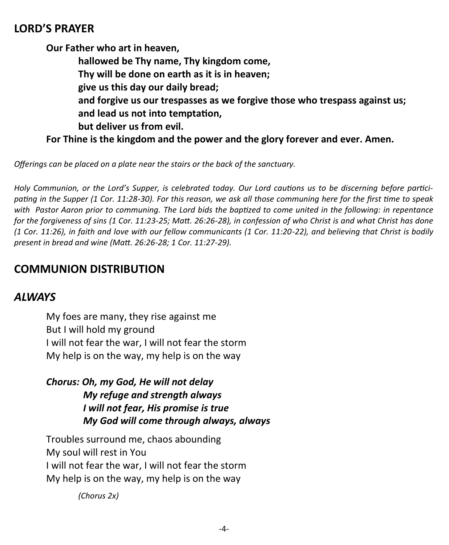## **LORD'S PRAYER**

**Our Father who art in heaven, hallowed be Thy name, Thy kingdom come, Thy will be done on earth as it is in heaven; give us this day our daily bread; and forgive us our trespasses as we forgive those who trespass against us; and lead us not into temptation, but deliver us from evil.**

**For Thine is the kingdom and the power and the glory forever and ever. Amen.** 

*Offerings can be placed on a plate near the stairs or the back of the sanctuary.*

*Holy Communion, or the Lord's Supper, is celebrated today. Our Lord cautions us to be discerning before participating in the Supper (1 Cor. 11:28-30). For this reason, we ask all those communing here for the first time to speak with Pastor Aaron prior to communing. The Lord bids the baptized to come united in the following: in repentance for the forgiveness of sins (1 Cor. 11:23-25; Matt. 26:26-28), in confession of who Christ is and what Christ has done (1 Cor. 11:26), in faith and love with our fellow communicants (1 Cor. 11:20-22), and believing that Christ is bodily present in bread and wine (Matt. 26:26-28; 1 Cor. 11:27-29).*

## **COMMUNION DISTRIBUTION**

## *ALWAYS*

My foes are many, they rise against me But I will hold my ground I will not fear the war, I will not fear the storm My help is on the way, my help is on the way

*Chorus: Oh, my God, He will not delay My refuge and strength always I will not fear, His promise is true My God will come through always, always*

Troubles surround me, chaos abounding My soul will rest in You I will not fear the war, I will not fear the storm My help is on the way, my help is on the way

*(Chorus 2x)*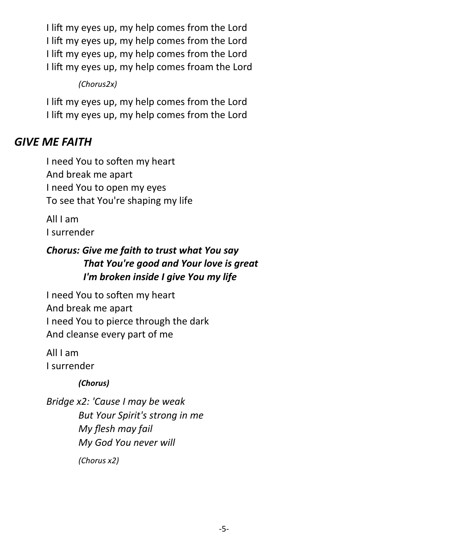I lift my eyes up, my help comes from the Lord I lift my eyes up, my help comes from the Lord I lift my eyes up, my help comes from the Lord I lift my eyes up, my help comes froam the Lord

*(Chorus2x)*

I lift my eyes up, my help comes from the Lord I lift my eyes up, my help comes from the Lord

# *GIVE ME FAITH*

I need You to soften my heart And break me apart I need You to open my eyes To see that You're shaping my life

All I am I surrender

### *Chorus: Give me faith to trust what You say That You're good and Your love is great I'm broken inside I give You my life*

I need You to soften my heart And break me apart I need You to pierce through the dark And cleanse every part of me

All I am I surrender

*(Chorus)*

*Bridge x2: 'Cause I may be weak But Your Spirit's strong in me My flesh may fail My God You never will (Chorus x2)*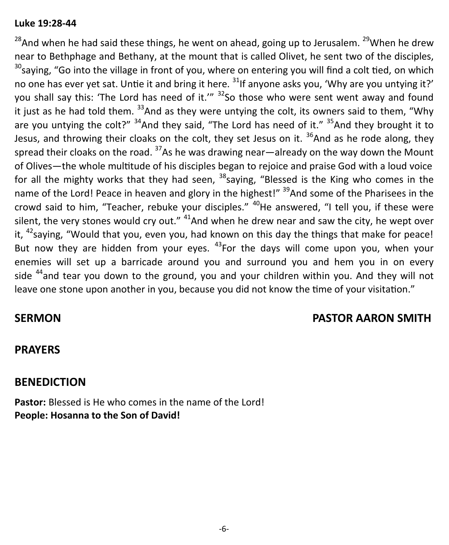### **Luke 19:28-44**

<sup>28</sup>And when he had said these things, he went on ahead, going up to Jerusalem. <sup>29</sup>When he drew near to Bethphage and Bethany, at the mount that is called Olivet, he sent two of the disciples,  $30$ saving, "Go into the village in front of you, where on entering you will find a colt tied, on which no one has ever yet sat. Untie it and bring it here. <sup>31</sup>If anyone asks you, 'Why are you untying it?' you shall say this: 'The Lord has need of it.'" <sup>32</sup>So those who were sent went away and found it just as he had told them.  $33$ And as they were untying the colt, its owners said to them, "Why are you untying the colt?"  $34$ And they said, "The Lord has need of it."  $35$ And they brought it to Jesus, and throwing their cloaks on the colt, they set Jesus on it.  $36$ And as he rode along, they spread their cloaks on the road.  $37$ As he was drawing near—already on the way down the Mount of Olives—the whole multitude of his disciples began to rejoice and praise God with a loud voice for all the mighty works that they had seen,  $38$  saying, "Blessed is the King who comes in the name of the Lord! Peace in heaven and glory in the highest!" <sup>39</sup>And some of the Pharisees in the crowd said to him, "Teacher, rebuke your disciples." <sup>40</sup>He answered, "I tell you, if these were silent, the very stones would cry out."  $41$ And when he drew near and saw the city, he wept over it,  $42$ saying, "Would that you, even you, had known on this day the things that make for peace! But now they are hidden from your eyes.  $43$  For the days will come upon you, when your enemies will set up a barricade around you and surround you and hem you in on every side  $44$  and tear you down to the ground, you and your children within you. And they will not leave one stone upon another in you, because you did not know the time of your visitation."

## **SERMON PASTOR AARON SMITH**

## **PRAYERS**

## **BENEDICTION**

**Pastor:** Blessed is He who comes in the name of the Lord! **People: Hosanna to the Son of David!**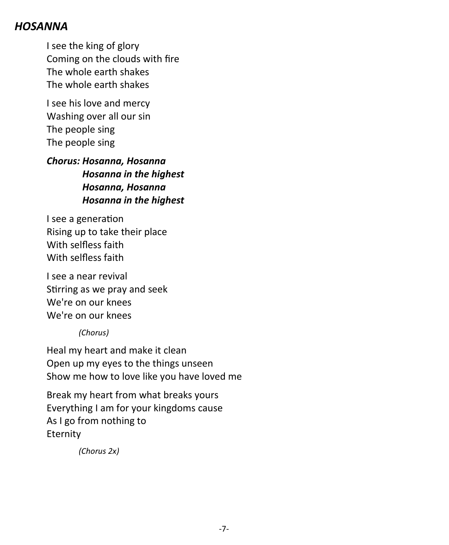## *HOSANNA*

I see the king of glory Coming on the clouds with fire The whole earth shakes The whole earth shakes

I see his love and mercy Washing over all our sin The people sing The people sing

*Chorus: Hosanna, Hosanna Hosanna in the highest Hosanna, Hosanna Hosanna in the highest*

I see a generation Rising up to take their place With selfless faith With selfless faith

I see a near revival Stirring as we pray and seek We're on our knees We're on our knees

*(Chorus)*

Heal my heart and make it clean Open up my eyes to the things unseen Show me how to love like you have loved me

Break my heart from what breaks yours Everything I am for your kingdoms cause As I go from nothing to Eternity

*(Chorus 2x)*